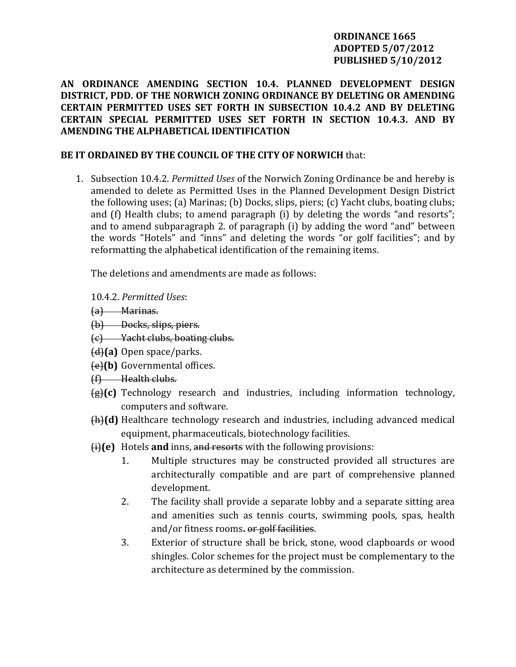## **ORDINANCE 1665 ADOPTED 5/07/2012 PUBLISHED 5/10/2012**

# **AN ORDINANCE AMENDING SECTION 10.4. PLANNED DEVELOPMENT DESIGN DISTRICT, PDD. OF THE NORWICH ZONING ORDINANCE BY DELETING OR AMENDING CERTAIN PERMITTED USES SET FORTH IN SUBSECTION 10.4.2 AND BY DELETING CERTAIN SPECIAL PERMITTED USES SET FORTH IN SECTION 10.4.3. AND BY AMENDING THE ALPHABETICAL IDENTIFICATION**

# **BE IT ORDAINED BY THE COUNCIL OF THE CITY OF NORWICH** that:

1. Subsection 10.4.2. *Permitted Uses* of the Norwich Zoning Ordinance be and hereby is amended to delete as Permitted Uses in the Planned Development Design District the following uses; (a) Marinas; (b) Docks, slips, piers; (c) Yacht clubs, boating clubs; and (f) Health clubs; to amend paragraph (i) by deleting the words "and resorts"; and to amend subparagraph 2. of paragraph (i) by adding the word "and" between the words "Hotels" and "inns" and deleting the words "or golf facilities"; and by reformatting the alphabetical identification of the remaining items.

The deletions and amendments are made as follows:

10.4.2. *Permitted Uses*:

- (a) Marinas.
- (b) Docks, slips, piers.
- (c) Yacht clubs, boating clubs.
- (d)**(a)** Open space/parks.
- (e)**(b)** Governmental offices.
- (f) Health clubs.
- (g)**(c)** Technology research and industries, including information technology, computers and software.
- (h)(d) Healthcare technology research and industries, including advanced medical equipment, pharmaceuticals, biotechnology facilities.
- (i)(e) Hotels and inns, and resorts with the following provisions:
	- 1. Multiple structures may be constructed provided all structures are architecturally compatible and are part of comprehensive planned development.
	- 2. The facility shall provide a separate lobby and a separate sitting area and amenities such as tennis courts, swimming pools, spas, health and/or fitness rooms**.** or golf facilities.
	- 3. Exterior of structure shall be brick, stone, wood clapboards or wood shingles. Color schemes for the project must be complementary to the architecture as determined by the commission.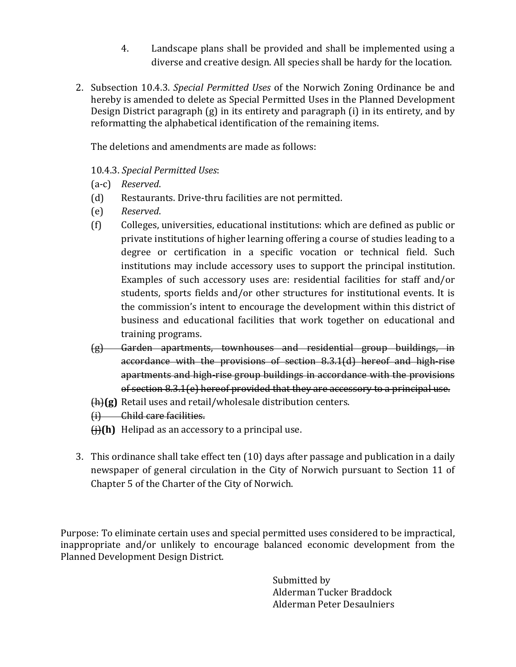- 4. Landscape plans shall be provided and shall be implemented using a diverse and creative design. All species shall be hardy for the location.
- 2. Subsection 10.4.3. *Special Permitted Uses* of the Norwich Zoning Ordinance be and hereby is amended to delete as Special Permitted Uses in the Planned Development Design District paragraph (g) in its entirety and paragraph (i) in its entirety, and by reformatting the alphabetical identification of the remaining items.

The deletions and amendments are made as follows:

# 10.4 . *Special Permitted Uses*: .3

(a-c) Reserved.

- (d) Restaurants. Drive‐thru facilities are not permitted.
- (e) *Reserved*.
- (f) Colleges, universities, educational institutions: which are defined as public or private institutions of higher learning offering a course of studies leading to a degree or certification in a specific vocation or technical field. Such institutions may include accessory uses to support the principal institution. Examples of such accessory uses are: residential facilities for staff and/or students, sports fields and/or other structures for institutional events. It is the commission's intent to encourage the development within this district of business and educational facilities that work together on educational and training programs.
- (g) Garden apartments, townhouses and residential group buildings, in accordance with the provisions of section 8.3.1(d) hereof and high‐rise apartments and high‐rise group buildings in accordance with the provisions of section 8.3.1(e) hereof provided that they are accessory to a principal use.
- (h)**(g)** Retail uses and retail/wholesale distribution centers.
- (i) Child care facilities.
- $\bigoplus$  **(h)** Helipad as an accessory to a principal use.
- 3. This ordinance shall take effect ten (10) days after passage and publication in a daily newspaper of general circulation in the City of Norwich pursuant to Section 11 of Chapter 5 of the Charter of the City of Norwich.

Purpose: To eliminate certain uses and special permitted uses considered to be impractical, inappropriate and/or unlikely to encourage balanced economic development from the Planned Development Design District.

> Submitted by Alderman Tucker Braddock Alderman Peter Desaulniers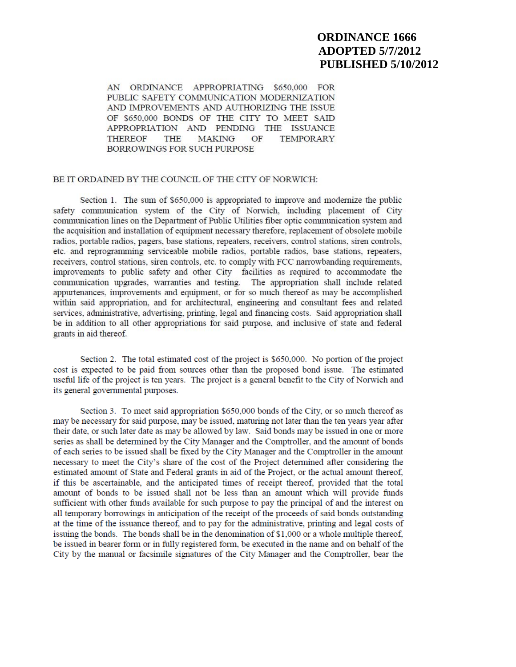# **ORDINANCE 1666 ADOPTED 5/7/2012 PUBLISHED 5/10/2012**

AN ORDINANCE APPROPRIATING \$650,000 FOR PUBLIC SAFETY COMMUNICATION MODERNIZATION AND IMPROVEMENTS AND AUTHORIZING THE ISSUE OF \$650,000 BONDS OF THE CITY TO MEET SAID APPROPRIATION AND PENDING THE ISSUANCE **THEREOF THE MAKING**  $OF$ **TEMPORARY** BORROWINGS FOR SUCH PURPOSE

#### BE IT ORDAINED BY THE COUNCIL OF THE CITY OF NORWICH:

Section 1. The sum of \$650,000 is appropriated to improve and modernize the public safety communication system of the City of Norwich, including placement of City communication lines on the Department of Public Utilities fiber optic communication system and the acquisition and installation of equipment necessary therefore, replacement of obsolete mobile radios, portable radios, pagers, base stations, repeaters, receivers, control stations, siren controls, etc. and reprogramming serviceable mobile radios, portable radios, base stations, repeaters, receivers, control stations, siren controls, etc. to comply with FCC narrowbanding requirements, improvements to public safety and other City facilities as required to accommodate the communication upgrades, warranties and testing. The appropriation shall include related appurtenances, improvements and equipment, or for so much thereof as may be accomplished within said appropriation, and for architectural, engineering and consultant fees and related services, administrative, advertising, printing, legal and financing costs. Said appropriation shall be in addition to all other appropriations for said purpose, and inclusive of state and federal grants in aid thereof.

Section 2. The total estimated cost of the project is \$650,000. No portion of the project cost is expected to be paid from sources other than the proposed bond issue. The estimated useful life of the project is ten years. The project is a general benefit to the City of Norwich and its general governmental purposes.

Section 3. To meet said appropriation \$650,000 bonds of the City, or so much thereof as may be necessary for said purpose, may be issued, maturing not later than the ten years year after their date, or such later date as may be allowed by law. Said bonds may be issued in one or more series as shall be determined by the City Manager and the Comptroller, and the amount of bonds of each series to be issued shall be fixed by the City Manager and the Comptroller in the amount necessary to meet the City's share of the cost of the Project determined after considering the estimated amount of State and Federal grants in aid of the Project, or the actual amount thereof, if this be ascertainable, and the anticipated times of receipt thereof, provided that the total amount of bonds to be issued shall not be less than an amount which will provide funds sufficient with other funds available for such purpose to pay the principal of and the interest on all temporary borrowings in anticipation of the receipt of the proceeds of said bonds outstanding at the time of the issuance thereof, and to pay for the administrative, printing and legal costs of issuing the bonds. The bonds shall be in the denomination of \$1,000 or a whole multiple thereof. be issued in bearer form or in fully registered form, be executed in the name and on behalf of the City by the manual or facsimile signatures of the City Manager and the Comptroller, bear the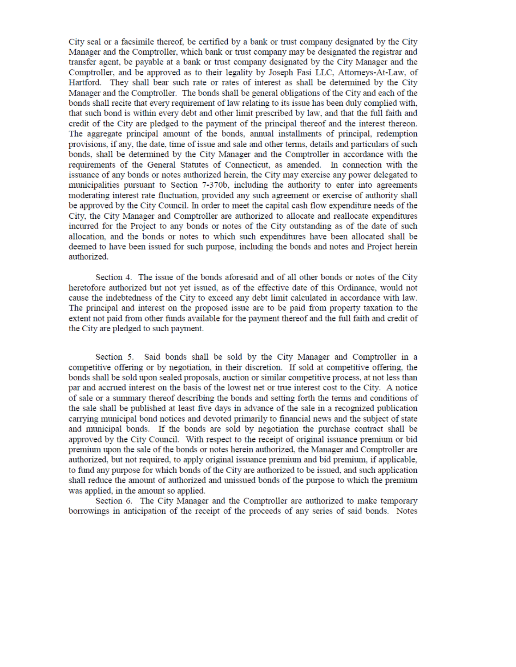City seal or a facsimile thereof, be certified by a bank or trust company designated by the City Manager and the Comptroller, which bank or trust company may be designated the registrar and transfer agent, be payable at a bank or trust company designated by the City Manager and the Comptroller, and be approved as to their legality by Joseph Fasi LLC, Attorneys-At-Law, of Hartford. They shall bear such rate or rates of interest as shall be determined by the City Manager and the Comptroller. The bonds shall be general obligations of the City and each of the bonds shall recite that every requirement of law relating to its issue has been duly complied with, that such bond is within every debt and other limit prescribed by law, and that the full faith and credit of the City are pledged to the payment of the principal thereof and the interest thereon. The aggregate principal amount of the bonds, annual installments of principal, redemption provisions, if any, the date, time of issue and sale and other terms, details and particulars of such bonds, shall be determined by the City Manager and the Comptroller in accordance with the requirements of the General Statutes of Connecticut, as amended. In connection with the issuance of any bonds or notes authorized herein, the City may exercise any power delegated to municipalities pursuant to Section 7-370b, including the authority to enter into agreements moderating interest rate fluctuation, provided any such agreement or exercise of authority shall be approved by the City Council. In order to meet the capital cash flow expenditure needs of the City, the City Manager and Comptroller are authorized to allocate and reallocate expenditures incurred for the Project to any bonds or notes of the City outstanding as of the date of such allocation, and the bonds or notes to which such expenditures have been allocated shall be deemed to have been issued for such purpose, including the bonds and notes and Project herein authorized.

Section 4. The issue of the bonds aforesaid and of all other bonds or notes of the City heretofore authorized but not yet issued, as of the effective date of this Ordinance, would not cause the indebtedness of the City to exceed any debt limit calculated in accordance with law. The principal and interest on the proposed issue are to be paid from property taxation to the extent not paid from other funds available for the payment thereof and the full faith and credit of the City are pledged to such payment.

Section 5. Said bonds shall be sold by the City Manager and Comptroller in a competitive offering or by negotiation, in their discretion. If sold at competitive offering, the bonds shall be sold upon sealed proposals, auction or similar competitive process, at not less than par and accrued interest on the basis of the lowest net or true interest cost to the City. A notice of sale or a summary thereof describing the bonds and setting forth the terms and conditions of the sale shall be published at least five days in advance of the sale in a recognized publication carrying municipal bond notices and devoted primarily to financial news and the subject of state and municipal bonds. If the bonds are sold by negotiation the purchase contract shall be approved by the City Council. With respect to the receipt of original issuance premium or bid premium upon the sale of the bonds or notes herein authorized, the Manager and Comptroller are authorized, but not required, to apply original issuance premium and bid premium, if applicable, to fund any purpose for which bonds of the City are authorized to be issued, and such application shall reduce the amount of authorized and unissued bonds of the purpose to which the premium was applied, in the amount so applied.

Section 6. The City Manager and the Comptroller are authorized to make temporary borrowings in anticipation of the receipt of the proceeds of any series of said bonds. Notes